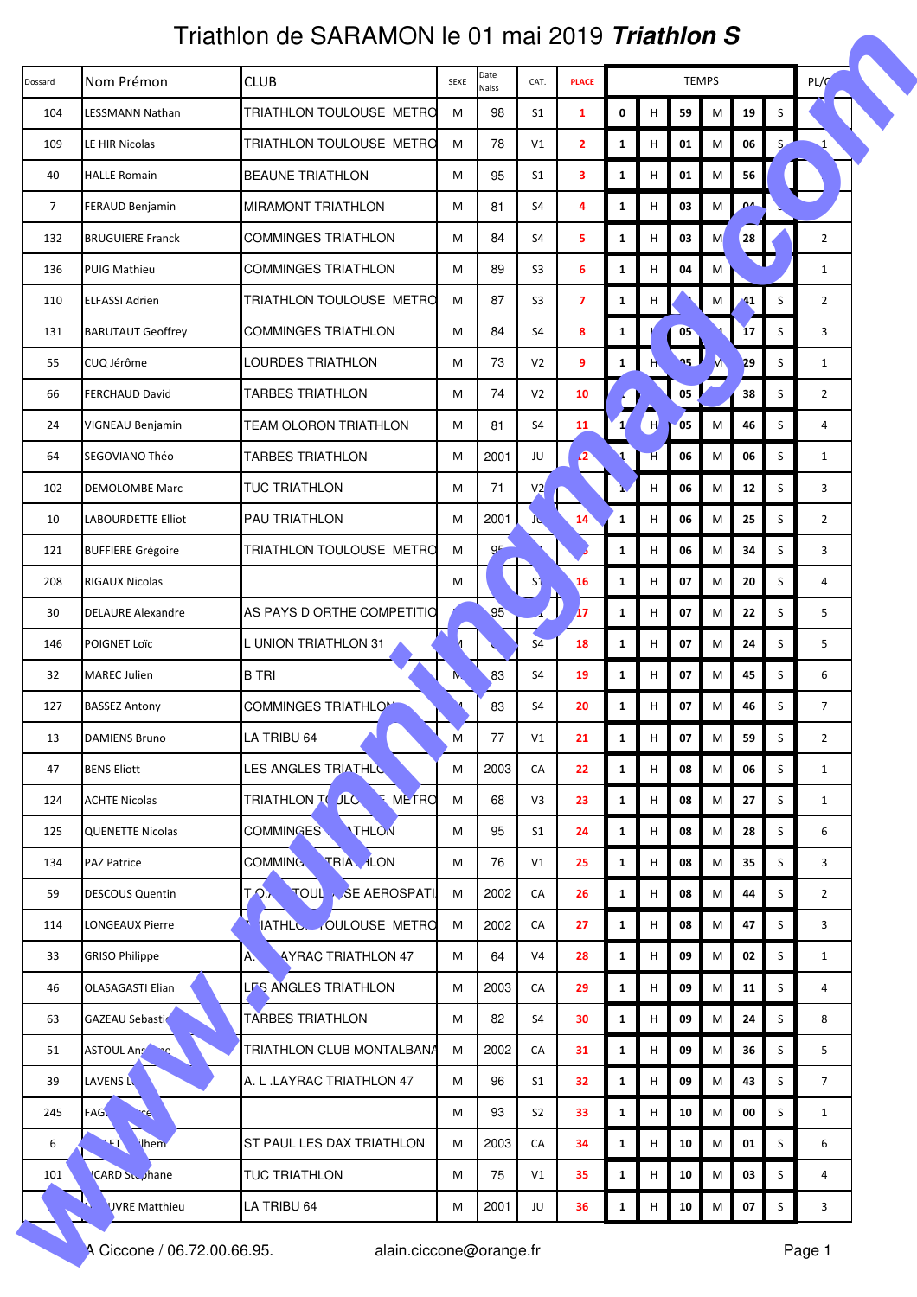|                | Friathlon de SARAMON le 01 mai 2019 <i>Triathlon S</i> |                                              |      |                      |                |                |              |    |              |           |                |         |                |  |
|----------------|--------------------------------------------------------|----------------------------------------------|------|----------------------|----------------|----------------|--------------|----|--------------|-----------|----------------|---------|----------------|--|
| Dossard        | Nom Prémon                                             | <b>CLUB</b>                                  | SEXE | Date<br><b>Naiss</b> | CAT.           | <b>PLACE</b>   |              |    | <b>TEMPS</b> |           | PL/G           |         |                |  |
| 104            | LESSMANN Nathan                                        | TRIATHLON TOULOUSE METRO                     | M    | 98                   | S1             | $\mathbf{1}$   | 0            | н  | 59           | M         | 19             | $\sf S$ |                |  |
| 109            | LE HIR Nicolas                                         | TRIATHLON TOULOUSE METRO                     | M    | 78                   | V <sub>1</sub> | $\mathbf{2}$   | $\mathbf{1}$ | н  | 01           | M         | 06             | S       |                |  |
| 40             | <b>HALLE Romain</b>                                    | <b>BEAUNE TRIATHLON</b>                      | M    | 95                   | S1             | 3              | $\mathbf{1}$ | н  | 01           | M         | 56             |         |                |  |
| $\overline{7}$ | <b>FERAUD Benjamin</b>                                 | <b>MIRAMONT TRIATHLON</b>                    | M    | 81                   | S4             | 4              | $\mathbf{1}$ | н  | 03           | M         | 0 <sup>a</sup> |         |                |  |
| 132            | <b>BRUGUIERE Franck</b>                                | <b>COMMINGES TRIATHLON</b>                   | M    | 84                   | S4             | 5              | $\mathbf{1}$ | н  | 03           | M         | 28             |         | $\overline{2}$ |  |
| 136            | <b>PUIG Mathieu</b>                                    | <b>COMMINGES TRIATHLON</b>                   | M    | 89                   | S <sub>3</sub> | 6              | $\mathbf{1}$ | н  | 04           | M         |                |         | $\mathbf{1}$   |  |
| 110            | <b>ELFASSI Adrien</b>                                  | TRIATHLON TOULOUSE METRO                     | M    | 87                   | S <sub>3</sub> | $\overline{7}$ | $\mathbf{1}$ | н  |              | M         | $^{\prime}$ 1  | S       | $\overline{2}$ |  |
| 131            | <b>BARUTAUT Geoffrey</b>                               | <b>COMMINGES TRIATHLON</b>                   | M    | 84                   | S4             | 8              | 1            |    | 05           |           | 17             | S       | 3              |  |
| 55             | CUQ Jérôme                                             | LOURDES TRIATHLON                            | M    | 73                   | V <sub>2</sub> | 9              | $\mathbf{1}$ |    | ng J         |           | 29             | S       | 1              |  |
| 66             | <b>FERCHAUD David</b>                                  | <b>TARBES TRIATHLON</b>                      | M    | 74                   | V <sub>2</sub> | 10             |              |    | 05           |           | 38             | S       | $\overline{2}$ |  |
| 24             | VIGNEAU Benjamin                                       | <b>TEAM OLORON TRIATHLON</b>                 | M    | 81                   | S4             | 11             |              | H  | 05           | M         | 46             | S       | 4              |  |
| 64             | SEGOVIANO Théo                                         | <b>TARBES TRIATHLON</b>                      | M    | 2001                 | JU             | 2              |              | H. | 06           | М         | 06             | S       | 1              |  |
| 102            | <b>DEMOLOMBE Marc</b>                                  | <b>TUC TRIATHLON</b>                         | M    | 71                   | V2             |                |              | н  | 06           | M         | 12             | S       | 3              |  |
| 10             | LABOURDETTE Elliot                                     | PAU TRIATHLON                                | M    | 2001                 | JL.            | 14             | $\mathbf{1}$ | н  | 06           | M         | 25             | S       | $\overline{2}$ |  |
| 121            | <b>BUFFIERE Grégoire</b>                               | TRIATHLON TOULOUSE METRO                     | M    | 9F                   |                |                | $\mathbf{1}$ | н  | 06           | M         | 34             | S       | 3              |  |
| 208            | <b>RIGAUX Nicolas</b>                                  |                                              | M    |                      | S1             | 16             | $\mathbf{1}$ | н  | 07           | M         | 20             | S       | 4              |  |
| 30             | <b>DELAURE Alexandre</b>                               | AS PAYS D ORTHE COMPETITIO                   |      | 95                   |                | 17             | $\mathbf{1}$ | н  | 07           | M         | 22             | S       | 5              |  |
| 146            | POIGNET Loïc                                           | L UNION TRIATHLON 31                         |      |                      | S <sub>4</sub> | 18             | $\mathbf{1}$ | н  | 07           | M         | 24             | S       | 5              |  |
| 32             | <b>MAREC Julien</b>                                    | <b>B TRI</b>                                 | N.   | 83                   | S4             | 19             | $\mathbf{1}$ | н  | 07           | M         | 45             | S       | 6              |  |
| 127            | <b>BASSEZ Antony</b>                                   | <b>COMMINGES TRIATHLOM</b>                   |      | 83                   | S4             | 20             | $\mathbf{1}$ | н  | 07           | M         | 46             | S       | $\overline{7}$ |  |
| 13             | <b>DAMIENS Bruno</b>                                   | LA TRIBU 64                                  | M    | 77                   | V1             | 21             | $\mathbf{1}$ | н  | 07           | ${\sf M}$ | 59             | S       | $\overline{2}$ |  |
| 47             | <b>BENS Eliott</b>                                     | LES ANGLES TRIATHLO                          | M    | 2003                 | CA             | 22             | $\mathbf{1}$ | н  | 08           | M         | 06             | S       | 1              |  |
| 124            | <b>ACHTE Nicolas</b>                                   | TRIATHLON TO JLC<br><b>METRO</b>             | M    | 68                   | V3             | 23             | $\mathbf{1}$ | н  | 08           | M         | 27             | S       | $\mathbf{1}$   |  |
| 125            | <b>QUENETTE Nicolas</b>                                | <b>THLON</b><br>COMMINGES                    | M    | 95                   | S <sub>1</sub> | 24             | $\mathbf{1}$ | н  | 08           | M         | 28             | S       | 6              |  |
| 134            | <b>PAZ Patrice</b>                                     | TRIA, ILON<br>COMMING.                       | M    | 76                   | V1             | 25             | $\mathbf{1}$ | н  | 08           | M         | 35             | S       | 3              |  |
| 59             | <b>DESCOUS Quentin</b>                                 | <b>TO.</b><br><b>TOUL &amp; SE AEROSPATI</b> | M    | 2002                 | CA             | 26             | $\mathbf{1}$ | н  | 08           | M         | 44             | S       | $\overline{2}$ |  |
| 114            | LONGEAUX Pierre                                        | IATHLC. OULOUSE METRO                        | M    | 2002                 | CA             | 27             | $\mathbf{1}$ | H  | 08           | M         | 47             | S       | 3              |  |
| 33             | <b>GRISO Philippe</b>                                  | <b>AYRAC TRIATHLON 47</b><br>A.              | M    | 64                   | V <sub>4</sub> | 28             | $\mathbf{1}$ | Н  | 09           | M         | 02             | S       | $\mathbf{1}$   |  |
| 46             | <b>OLASAGASTI Elian</b>                                | LFS ANGLES TRIATHLON                         | M    | 2003                 | CA             | 29             | $\mathbf{1}$ | н  | 09           | ${\sf M}$ | 11             | S       | 4              |  |
| 63             | <b>GAZEAU Sebastic</b>                                 | <b>TARBES TRIATHLON</b>                      | M    | 82                   | S4             | 30             | $\mathbf{1}$ | н  | 09           | M         | 24             | S       | 8              |  |
| 51             | ASTOUL Ans<br>$\bigcap_{i=1}^n$                        | TRIATHLON CLUB MONTALBANA                    | M    | 2002                 | CA             | 31             | $\mathbf{1}$ | н  | 09           | M         | 36             | S       | 5              |  |
| 39             | LAVENS L                                               | A. L .LAYRAC TRIATHLON 47                    | M    | 96                   | S <sub>1</sub> | 32             | $\mathbf{1}$ | н  | 09           | M         | 43             | S       | $\overline{7}$ |  |
| 245            | FAG.<br>سولو                                           |                                              | M    | 93                   | S <sub>2</sub> | 33             | $\mathbf{1}$ | н  | 10           | M         | 00             | S       | $\mathbf{1}$   |  |
| 6              | lhem<br>$\mathcal{F}$                                  | ST PAUL LES DAX TRIATHLON                    | M    | 2003                 | CA             | 34             | $\mathbf{1}$ | н  | 10           | M         | 01             | S       | 6              |  |
| 101            | CARD Suppliane                                         | <b>TUC TRIATHLON</b>                         | M    | 75                   | V1             | 35             | $\mathbf{1}$ | н  | 10           | M         | 03             | $\sf S$ | $\overline{4}$ |  |
|                | <b>UVRE Matthieu</b>                                   | LA TRIBU 64                                  | M    | 2001                 | JU             | 36             | $\mathbf{1}$ | н  | 10           | M         | 07             | $\sf S$ | 3              |  |
|                | A Ciccone / 06.72.00.66.95.                            | alain.ciccone@orange.fr                      |      |                      |                |                |              |    |              |           |                |         | Page 1         |  |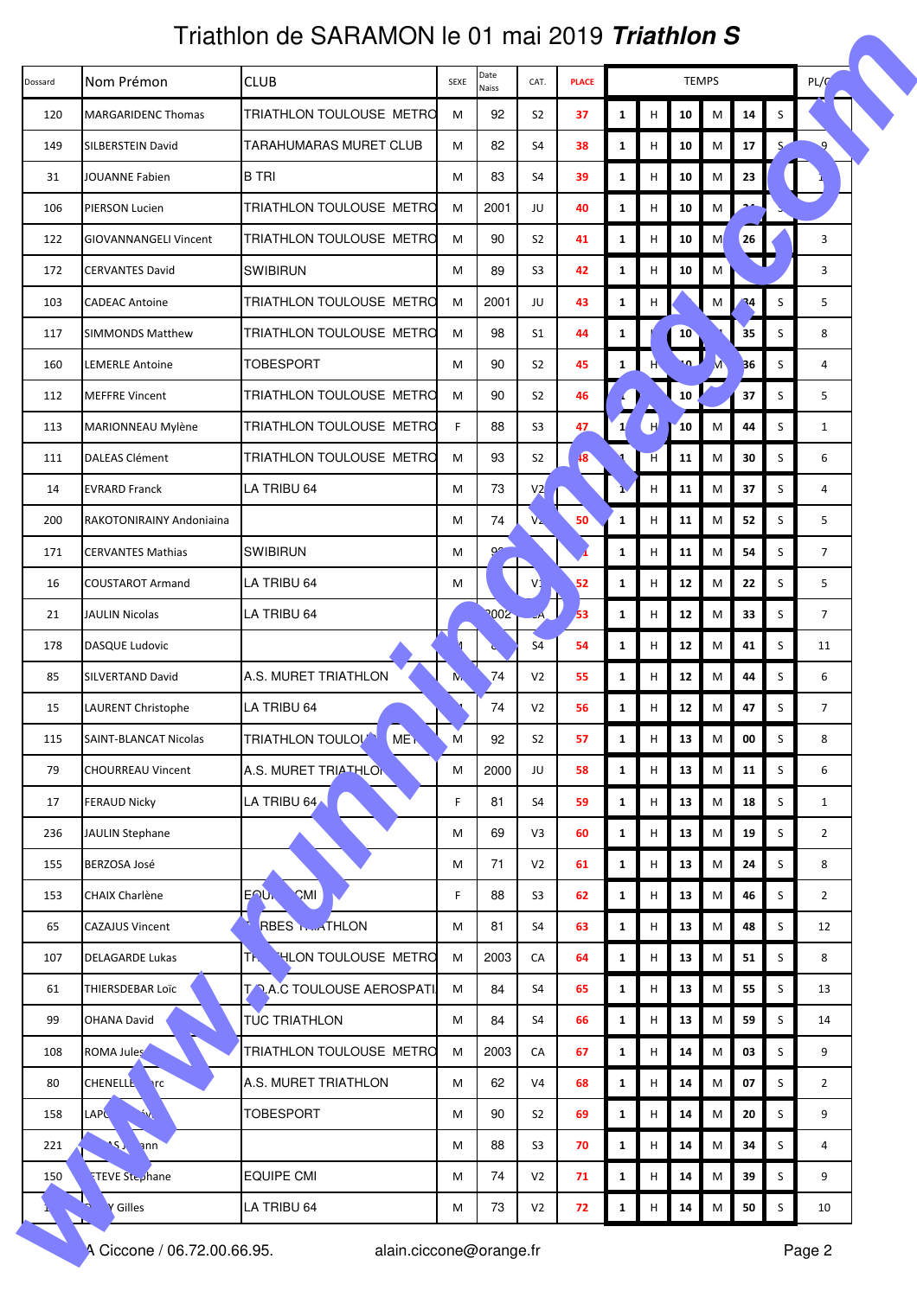|         | Triathlon de SARAMON le 01 mai 2019 <i>Triathlon S</i> |                                             |      |                  |                |              |              |   |            |           |    |         |                |  |
|---------|--------------------------------------------------------|---------------------------------------------|------|------------------|----------------|--------------|--------------|---|------------|-----------|----|---------|----------------|--|
| Dossard | Nom Prémon                                             | <b>CLUB</b>                                 | SEXE | Date<br>Naiss    | CAT.           | <b>PLACE</b> | <b>TEMPS</b> |   |            |           |    |         | PL/C           |  |
| 120     | <b>MARGARIDENC Thomas</b>                              | TRIATHLON TOULOUSE METRO                    | M    | 92               | S <sub>2</sub> | 37           | $\mathbf{1}$ | н | 10         | M         | 14 | S       |                |  |
| 149     | SILBERSTEIN David                                      | TARAHUMARAS MURET CLUB                      | M    | 82               | S4             | 38           | $\mathbf{1}$ | н | 10         | M         | 17 | S       |                |  |
| 31      | JOUANNE Fabien                                         | <b>B TRI</b>                                | M    | 83               | S4             | 39           | $\mathbf{1}$ | н | 10         | M         | 23 |         |                |  |
| 106     | PIERSON Lucien                                         | TRIATHLON TOULOUSE METRO                    | M    | 2001             | JU             | 40           | $\mathbf{1}$ | н | 10         | M         |    |         |                |  |
| 122     | <b>GIOVANNANGELI Vincent</b>                           | TRIATHLON TOULOUSE METRO                    | M    | 90               | S <sub>2</sub> | 41           | $\mathbf{1}$ | н | 10         | M         | 26 |         | 3              |  |
| 172     | <b>CERVANTES David</b>                                 | <b>SWIBIRUN</b>                             | M    | 89               | S <sub>3</sub> | 42           | $\mathbf{1}$ | н | 10         | M         |    |         | 3              |  |
| 103     | <b>CADEAC Antoine</b>                                  | TRIATHLON TOULOUSE METRO                    | M    | 2001             | JU             | 43           | $\mathbf{1}$ | н |            | M         | 34 | S       | 5              |  |
| 117     | <b>SIMMONDS Matthew</b>                                | TRIATHLON TOULOUSE METRO                    | M    | 98               | S1             | 44           | 1            |   | 10         |           | 35 | S       | 8              |  |
| 160     | <b>LEMERLE Antoine</b>                                 | TOBESPORT                                   | M    | 90               | S <sub>2</sub> | 45           | $\mathbf{1}$ | H | ل ه؛       |           | 36 | S       | 4              |  |
| 112     | <b>MEFFRE Vincent</b>                                  | TRIATHLON TOULOUSE METRO                    | M    | 90               | S <sub>2</sub> | 46           |              |   | 10         |           | 37 | S       | 5              |  |
| 113     | MARIONNEAU Mylène                                      | TRIATHLON TOULOUSE METRO                    | F    | 88               | S3             | 47           |              | H | 10         | M         | 44 | S       | 1              |  |
| 111     | <b>DALEAS Clément</b>                                  | TRIATHLON TOULOUSE METRO                    | M    | 93               | S <sub>2</sub> | $\sqrt{8}$   |              | H | 11         | M         | 30 | S       | 6              |  |
| 14      | <b>EVRARD Franck</b>                                   | LA TRIBU 64                                 | M    | 73               | V <sub>2</sub> |              |              | н | 11         | M         | 37 | S       | 4              |  |
| 200     | RAKOTONIRAINY Andoniaina                               |                                             | M    | 74               | $V_{\rm A}$    | 50           | $\mathbf{1}$ | н | 11         | M         | 52 | S       | 5              |  |
| 171     | <b>CERVANTES Mathias</b>                               | <b>SWIBIRUN</b>                             | M    | 9 <sup>o</sup>   |                |              | $\mathbf{1}$ | н | 11         | M         | 54 | S       | $\overline{7}$ |  |
| 16      | <b>COUSTAROT Armand</b>                                | LA TRIBU 64                                 | M    |                  |                | 52           | $\mathbf{1}$ | н | 12         | M         | 22 | S       | 5              |  |
| 21      | <b>JAULIN Nicolas</b>                                  | LA TRIBU 64                                 |      | 700 <sub>2</sub> |                | 53           | $\mathbf{1}$ | н | 12         | M         | 33 | S       | $\overline{7}$ |  |
| 178     | <b>DASQUE Ludovic</b>                                  |                                             |      |                  | S4             | 54           | $\mathbf{1}$ | н | 12         | M         | 41 | S       | 11             |  |
| 85      | SILVERTAND David                                       | A.S. MURET TRIATHLON                        | N.   | 74               | V <sub>2</sub> | 55           | $\mathbf{1}$ | н | 12         | M         | 44 | S       | 6              |  |
| 15      | <b>LAURENT Christophe</b>                              | LA TRIBU 64                                 |      | 74               | V <sub>2</sub> | 56           | $\mathbf{1}$ | н | 12         | M         | 47 | S       | $\overline{7}$ |  |
| 115     | <b>SAINT-BLANCAT Nicolas</b>                           | <b>TRIATHLON TOULOUT</b><br>ME <sub>N</sub> | M    | 92               | S <sub>2</sub> | 57           | $\mathbf{1}$ | H | 13         | M         | 00 | S       | 8              |  |
| 79      | <b>CHOURREAU Vincent</b>                               | A.S. MURET TRIATHLON                        | M    | 2000             | JU             | 58           | $\mathbf{1}$ | н | 13         | M         | 11 | S       | 6              |  |
| 17      | <b>FERAUD Nicky</b>                                    | LA TRIBU 64                                 | F.   | 81               | S4             | 59           | $\mathbf{1}$ | н | 13         | M         | 18 | S       | $\mathbf{1}$   |  |
| 236     | <b>JAULIN Stephane</b>                                 |                                             | M    | 69               | V3             | 60           | $\mathbf{1}$ | н | 13         | M         | 19 | S       | $\overline{2}$ |  |
| 155     | <b>BERZOSA José</b>                                    |                                             | M    | 71               | V <sub>2</sub> | 61           | $\mathbf{1}$ | Н | 13         | M         | 24 | S       | 8              |  |
| 153     | <b>CHAIX Charlène</b>                                  | <b>ENUL</b><br><b>CMI</b>                   | F.   | 88               | S <sub>3</sub> | 62           | $\mathbf{1}$ | н | 13         | M         | 46 | S       | $\overline{2}$ |  |
| 65      | <b>CAZAJUS Vincent</b>                                 | <b>RBES <i><u>Buta</u>THLON</i></b>         | M    | 81               | S4             | 63           | $\mathbf{1}$ | н | 13         | M         | 48 | S       | 12             |  |
| 107     | <b>DELAGARDE Lukas</b>                                 | <b>HLON TOULOUSE METRO</b><br>TK.           | M    | 2003             | CA             | 64           | $\mathbf{1}$ | н | ${\bf 13}$ | M         | 51 | S       | 8              |  |
| 61      | THIERSDEBAR Loïc                                       | <b>TOAC TOULOUSE AEROSPATI</b>              | M    | 84               | S4             | 65           | $\mathbf{1}$ | н | 13         | M         | 55 | S       | 13             |  |
| 99      | <b>OHANA David</b>                                     | <b>TUC TRIATHLON</b>                        | M    | 84               | S4             | 66           | $\mathbf{1}$ | н | 13         | M         | 59 | S       | 14             |  |
| 108     | ROMA Jules                                             | TRIATHLON TOULOUSE METRO                    | M    | 2003             | CA             | 67           | $\mathbf{1}$ | н | 14         | M         | 03 | S       | 9              |  |
| 80      | <b>CHENELLE</b><br>$\mathsf{r}$ c                      | A.S. MURET TRIATHLON                        | M    | 62               | V <sub>4</sub> | 68           | $\mathbf{1}$ | н | 14         | ${\sf M}$ | 07 | S       | $\overline{2}$ |  |
| 158     | LAPL<br>$\mathcal{P}$                                  | <b>TOBESPORT</b>                            | М    | 90               | S <sub>2</sub> | 69           | $\mathbf{1}$ | Н | 14         | ${\sf M}$ | 20 | $\sf S$ | 9              |  |
| 221     | <b>AST</b><br>ann                                      |                                             | M    | 88               | S <sub>3</sub> | 70           | $\mathbf{1}$ | н | 14         | M         | 34 | S       | 4              |  |
| 150     | TEVE Stephane                                          | <b>EQUIPE CMI</b>                           | М    | 74               | V <sub>2</sub> | 71           | $\mathbf{1}$ | н | 14         | M         | 39 | S       | 9              |  |
|         | Gilles                                                 | LA TRIBU 64                                 | М    | 73               | V <sub>2</sub> | 72           | $\mathbf{1}$ | н | 14         | M         | 50 | S       | 10             |  |
|         | A Ciccone / 06.72.00.66.95.                            | alain.ciccone@orange.fr                     |      |                  |                |              |              |   |            |           |    |         | Page 2         |  |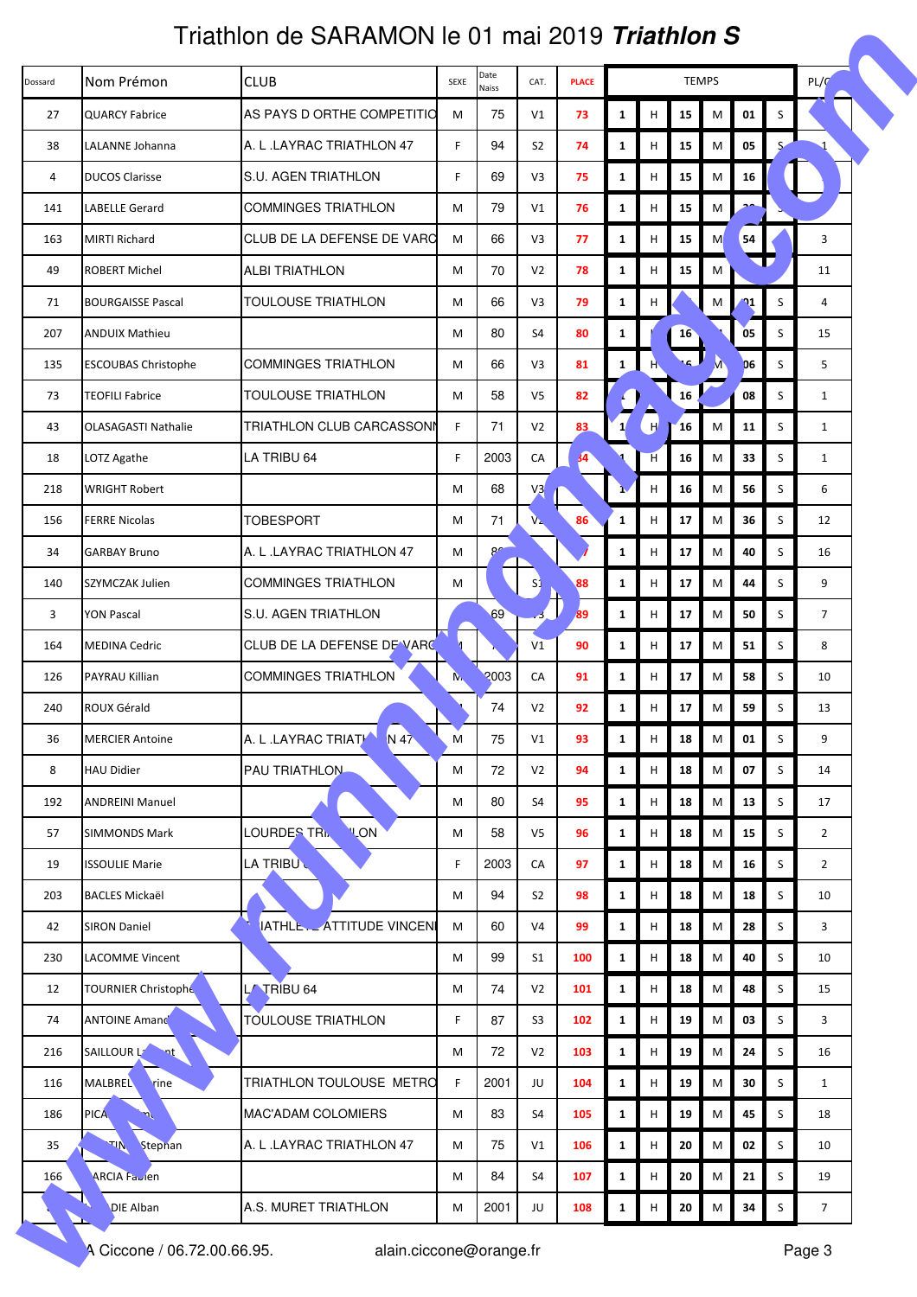|         | Triathlon de SARAMON le 01 mai 2019 <i>Triathlon S</i> |                            |      |                |                |                 |              |   |               |           |                |   |                |  |
|---------|--------------------------------------------------------|----------------------------|------|----------------|----------------|-----------------|--------------|---|---------------|-----------|----------------|---|----------------|--|
| Dossard | Nom Prémon                                             | <b>CLUB</b>                | SEXE | Date<br>Naiss  | CAT.           | <b>PLACE</b>    | <b>TEMPS</b> |   |               |           |                |   | PL/C           |  |
| 27      | <b>QUARCY Fabrice</b>                                  | AS PAYS D ORTHE COMPETITIO | M    | 75             | V1             | 73              | $\mathbf{1}$ | н | 15            | M         | 01             | S |                |  |
| 38      | LALANNE Johanna                                        | A. L.LAYRAC TRIATHLON 47   | F.   | 94             | S <sub>2</sub> | 74              | $\mathbf{1}$ | н | 15            | M         | 05             | S |                |  |
| 4       | <b>DUCOS Clarisse</b>                                  | S.U. AGEN TRIATHLON        | F.   | 69             | V <sub>3</sub> | 75              | $\mathbf{1}$ | н | 15            | M         | 16             |   |                |  |
| 141     | <b>LABELLE Gerard</b>                                  | <b>COMMINGES TRIATHLON</b> | M    | 79             | V1             | 76              | $\mathbf{1}$ | н | 15            | M         |                |   |                |  |
| 163     | <b>MIRTI Richard</b>                                   | CLUB DE LA DEFENSE DE VARC | M    | 66             | V3             | 77              | $\mathbf{1}$ | н | 15            | M         | 54             |   | 3              |  |
| 49      | <b>ROBERT Michel</b>                                   | <b>ALBI TRIATHLON</b>      | M    | 70             | V <sub>2</sub> | 78              | $\mathbf{1}$ | н | 15            | M         |                |   | 11             |  |
| 71      | <b>BOURGAISSE Pascal</b>                               | TOULOUSE TRIATHLON         | М    | 66             | V3             | 79              | $\mathbf{1}$ | н |               | M         | $\mathbf{v}_1$ | S | 4              |  |
| 207     | <b>ANDUIX Mathieu</b>                                  |                            | M    | 80             | S4             | 80              | 1            |   | <b>16</b>     |           | 0 <sub>5</sub> | S | 15             |  |
| 135     | <b>ESCOUBAS Christophe</b>                             | <b>COMMINGES TRIATHLON</b> | M    | 66             | V3             | 81              | $\mathbf{1}$ | H | ا ۽،          |           | 06             | S | 5              |  |
| 73      | <b>TEOFILI Fabrice</b>                                 | <b>TOULOUSE TRIATHLON</b>  | M    | 58             | V <sub>5</sub> | 82              |              |   | 16            |           | 08             | S | $\mathbf{1}$   |  |
| 43      | <b>OLASAGASTI Nathalie</b>                             | TRIATHLON CLUB CARCASSONN  | F    | 71             | V <sub>2</sub> | 83              |              | H | <sup>16</sup> | M         | 11             | S | 1              |  |
| 18      | LOTZ Agathe                                            | LA TRIBU 64                | F    | 2003           | CA             | $\overline{34}$ |              | H | 16            | M         | 33             | S | $\mathbf{1}$   |  |
| 218     | <b>WRIGHT Robert</b>                                   |                            | M    | 68             | V <sub>3</sub> |                 |              | н | 16            | M         | 56             | S | 6              |  |
| 156     | <b>FERRE Nicolas</b>                                   | <b>TOBESPORT</b>           | M    | 71             | $V_{\rm A}$    | 86              | 1            | н | 17            | M         | 36             | S | 12             |  |
| 34      | <b>GARBAY Bruno</b>                                    | A. L.LAYRAC TRIATHLON 47   | M    | 8 <sup>o</sup> |                |                 | $\mathbf{1}$ | н | 17            | M         | 40             | S | 16             |  |
| 140     | SZYMCZAK Julien                                        | <b>COMMINGES TRIATHLON</b> | M    |                | S1             | 88              | $\mathbf{1}$ | H | 17            | M         | 44             | S | 9              |  |
| 3       | <b>YON Pascal</b>                                      | S.U. AGEN TRIATHLON        |      | 69             |                | 89              | $\mathbf{1}$ | н | 17            | M         | 50             | S | $\overline{7}$ |  |
| 164     | <b>MEDINA Cedric</b>                                   | CLUB DE LA DEFENSE DE VARC |      |                | V1             | 90              | $\mathbf{1}$ | н | 17            | M         | 51             | S | 8              |  |
| 126     | PAYRAU Killian                                         | <b>COMMINGES TRIATHLON</b> | N.   | 2003           | CA             | 91              | $\mathbf{1}$ | н | 17            | M         | 58             | S | 10             |  |
| 240     | ROUX Gérald                                            |                            |      | 74             | V <sub>2</sub> | 92              | $\mathbf{1}$ | н | 17            | M         | 59             | S | 13             |  |
| 36      | <b>MERCIER Antoine</b>                                 | A. L.LAYRAC TRIATH<br>N 47 | M    | 75             | V1             | 93              | $\mathbf{1}$ | н | 18            | M         | 01             | S | 9              |  |
| 8       | <b>HAU Didier</b>                                      | PAU TRIATHLON              | M    | 72             | V <sub>2</sub> | 94              | $\mathbf{1}$ | н | 18            | M         | 07             | S | 14             |  |
| 192     | <b>ANDREINI Manuel</b>                                 |                            | M    | 80             | S4             | 95              | $\mathbf{1}$ | н | 18            | M         | 13             | S | 17             |  |
| 57      | <b>SIMMONDS Mark</b>                                   | LOURDES TRI<br><b>VLON</b> | M    | 58             | V <sub>5</sub> | 96              | $\mathbf{1}$ | н | 18            | M         | 15             | S | $\overline{2}$ |  |
| 19      | <b>ISSOULIE Marie</b>                                  | LA TRIBU                   | F    | 2003           | CA             | 97              | $\mathbf{1}$ | Н | 18            | M         | 16             | S | $\overline{2}$ |  |
| 203     | <b>BACLES Mickaël</b>                                  |                            | M    | 94             | S <sub>2</sub> | 98              | $\mathbf{1}$ | н | 18            | M         | 18             | S | 10             |  |
| 42      | <b>SIRON Daniel</b>                                    | IATHLE. ATTITUDE VINCENI   | M    | 60             | V <sub>4</sub> | 99              | $\mathbf{1}$ | н | 18            | M         | 28             | S | 3              |  |
| 230     | <b>LACOMME Vincent</b>                                 |                            | М    | 99             | S <sub>1</sub> | 100             | $\mathbf{1}$ | н | ${\bf 18}$    | M         | 40             | S | 10             |  |
| 12      | TOURNIER Christophe                                    | L/ TRIBU 64                | M    | 74             | V <sub>2</sub> | 101             | $\mathbf{1}$ | н | 18            | M         | 48             | S | 15             |  |
| 74      | <b>ANTOINE Amand</b>                                   | TOULOUSE TRIATHLON         | F.   | 87             | S <sub>3</sub> | 102             | $\mathbf{1}$ | н | 19            | M         | 03             | S | 3              |  |
| 216     | SAILLOUR L7<br>৲nt                                     |                            | M    | 72             | V <sub>2</sub> | 103             | $\mathbf{1}$ | н | 19            | M         | 24             | S | 16             |  |
| 116     | MALBREL<br>rine                                        | TRIATHLON TOULOUSE METRO   | F    | 2001           | JU             | 104             | $\mathbf{1}$ | н | 19            | M         | 30             | S | $\mathbf{1}$   |  |
| 186     | PICA.<br>η٢                                            | <b>MAC'ADAM COLOMIERS</b>  | M    | 83             | S4             | 105             | $\mathbf{1}$ | н | ${\bf 19}$    | ${\sf M}$ | 45             | S | 18             |  |
| 35      | Stephan<br>$\mathcal{M}^{\mathcal{F}}$                 | A. L.LAYRAC TRIATHLON 47   | M    | 75             | V1             | 106             | $\mathbf{1}$ | н | 20            | M         | 02             | S | 10             |  |
| 166     | ARCIA Faulen                                           |                            | M    | 84             | S <sub>4</sub> | 107             | $\mathbf{1}$ | н | 20            | M         | 21             | S | 19             |  |
|         | DIE Alban                                              | A.S. MURET TRIATHLON       | M    | 2001           | JU             | 108             | $\mathbf{1}$ | н | 20            | M         | 34             | S | $\overline{7}$ |  |
|         | A Ciccone / 06.72.00.66.95.                            | alain.ciccone@orange.fr    |      |                |                |                 |              |   |               |           |                |   | Page 3         |  |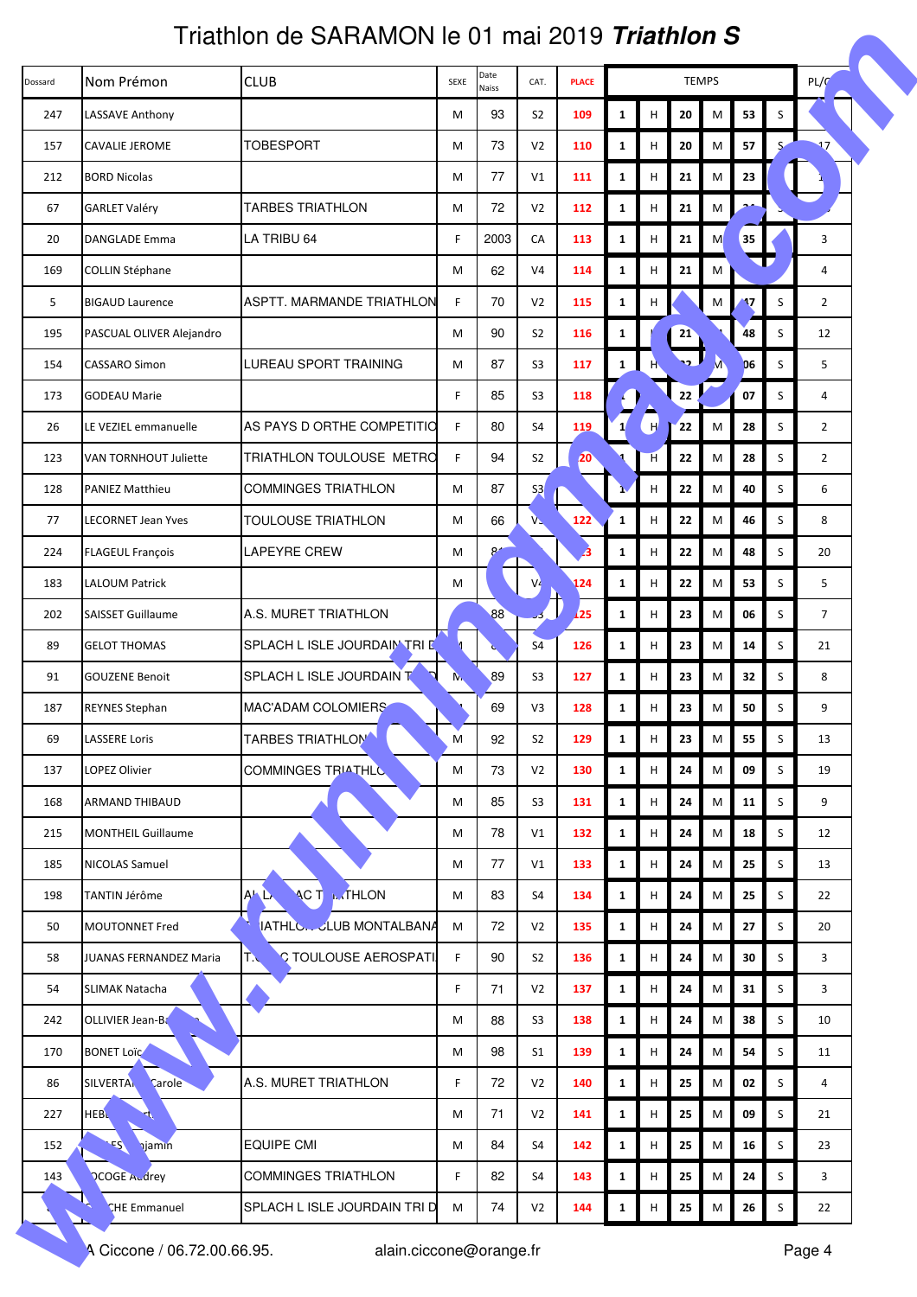|         | Triathlon de SARAMON le 01 mai 2019 <i>Triathlon S</i> |                                     |      |               |                |              |              |   |             |   |            |         |                |  |
|---------|--------------------------------------------------------|-------------------------------------|------|---------------|----------------|--------------|--------------|---|-------------|---|------------|---------|----------------|--|
| Dossard | Nom Prémon                                             | <b>CLUB</b>                         | SEXE | Date<br>Naiss | CAT.           | <b>PLACE</b> | <b>TEMPS</b> |   |             |   |            |         | PL/C           |  |
| 247     | LASSAVE Anthony                                        |                                     | M    | 93            | S <sub>2</sub> | 109          | $\mathbf{1}$ | н | 20          | M | 53         | S       |                |  |
| 157     | <b>CAVALIE JEROME</b>                                  | <b>TOBESPORT</b>                    | M    | 73            | V <sub>2</sub> | 110          | $\mathbf{1}$ | н | 20          | M | 57         | S       |                |  |
| 212     | <b>BORD Nicolas</b>                                    |                                     | М    | 77            | V1             | 111          | $\mathbf{1}$ | н | 21          | M | 23         |         |                |  |
| 67      | <b>GARLET Valéry</b>                                   | <b>TARBES TRIATHLON</b>             | M    | 72            | V <sub>2</sub> | 112          | $\mathbf{1}$ | н | 21          | M |            |         |                |  |
| 20      | <b>DANGLADE Emma</b>                                   | LA TRIBU 64                         | F    | 2003          | CA             | 113          | $\mathbf{1}$ | н | 21          | M | 35         |         | 3              |  |
| 169     | <b>COLLIN Stéphane</b>                                 |                                     | M    | 62            | V <sub>4</sub> | 114          | $\mathbf{1}$ | н | 21          | M |            |         | 4              |  |
| 5       | <b>BIGAUD Laurence</b>                                 | ASPTT. MARMANDE TRIATHLON           | F    | 70            | V <sub>2</sub> | 115          | $\mathbf{1}$ | Н |             | M | 17         | S       | $\overline{2}$ |  |
| 195     | PASCUAL OLIVER Alejandro                               |                                     | M    | 90            | S <sub>2</sub> | 116          | 1            |   | 21          |   | 48         | S       | 12             |  |
| 154     | CASSARO Simon                                          | LUREAU SPORT TRAINING               | M    | 87            | S <sub>3</sub> | 117          | $\mathbf{1}$ | H | <u>ng  </u> |   | 06         | S       | 5              |  |
| 173     | <b>GODEAU Marie</b>                                    |                                     | F    | 85            | S <sub>3</sub> | 118          |              |   | 22          |   | 07         | S       | $\overline{4}$ |  |
| 26      | LE VEZIEL emmanuelle                                   | AS PAYS D ORTHE COMPETITIO          | F    | 80            | S4             | 119          |              | H | 22          | M | 28         | S       | $\overline{2}$ |  |
| 123     | VAN TORNHOUT Juliette                                  | TRIATHLON TOULOUSE METRO            | F    | 94            | S <sub>2</sub> | 20           |              | H | 22          | M | 28         | S       | $\overline{2}$ |  |
| 128     | <b>PANIEZ Matthieu</b>                                 | <b>COMMINGES TRIATHLON</b>          | M    | 87            | S <sub>3</sub> |              |              | н | 22          | M | 40         | S       | 6              |  |
| 77      | LECORNET Jean Yves                                     | TOULOUSE TRIATHLON                  | M    | 66            | $V_{\rm b}$    | 122          | $\mathbf{1}$ | н | 22          | M | 46         | S       | 8              |  |
| 224     | <b>FLAGEUL François</b>                                | <b>LAPEYRE CREW</b>                 | М    | $8 +$         |                | 3            | $\mathbf{1}$ | н | 22          | M | 48         | S       | 20             |  |
| 183     | <b>LALOUM Patrick</b>                                  |                                     | M    |               |                | 124          | $\mathbf{1}$ | H | 22          | M | 53         | S       | 5              |  |
| 202     | <b>SAISSET Guillaume</b>                               | A.S. MURET TRIATHLON                |      | 88            |                | 125          | $\mathbf{1}$ | н | 23          | M | 06         | S       | $\overline{7}$ |  |
| 89      | <b>GELOT THOMAS</b>                                    | SPLACH L ISLE JOURDAIN TRI D        |      |               | S4             | 126          | $\mathbf{1}$ | н | 23          | M | 14         | S       | 21             |  |
| 91      | <b>GOUZENE Benoit</b>                                  | SPLACH L ISLE JOURDAIN T            | N.   | 89            | S <sub>3</sub> | 127          | $\mathbf{1}$ | н | 23          | M | 32         | S       | 8              |  |
| 187     | <b>REYNES Stephan</b>                                  | MAC'ADAM COLOMIERS                  |      | 69            | V3             | 128          | $\mathbf{1}$ | н | 23          | M | 50         | S       | 9              |  |
| 69      | <b>LASSERE Loris</b>                                   | <b>TARBES TRIATHLOM</b>             | M    | 92            | S <sub>2</sub> | 129          | $\mathbf{1}$ | н | 23          | M | 55         | S       | 13             |  |
| 137     | LOPEZ Olivier                                          | <b>COMMINGES TRIATHLO</b>           | M    | 73            | V <sub>2</sub> | 130          | $\mathbf{1}$ | н | 24          | M | 09         | S       | 19             |  |
| 168     | <b>ARMAND THIBAUD</b>                                  |                                     | M    | 85            | S <sub>3</sub> | 131          | $\mathbf{1}$ | н | 24          | M | 11         | S       | 9              |  |
| 215     | <b>MONTHEIL Guillaume</b>                              |                                     | M    | 78            | V1             | 132          | $\mathbf{1}$ | н | 24          | M | 18         | S       | 12             |  |
| 185     | <b>NICOLAS Samuel</b>                                  |                                     | M    | 77            | V1             | 133          | $\mathbf{1}$ | н | 24          | M | 25         | S       | 13             |  |
| 198     | TANTIN Jérôme                                          | <b>MTHLON</b><br>ALL.<br><b>ACT</b> | M    | 83            | S4             | 134          | $\mathbf{1}$ | н | 24          | M | 25         | S       | 22             |  |
| 50      | <b>MOUTONNET Fred</b>                                  | <b>IATHLCCLUB MONTALBANA</b>        | M    | 72            | V <sub>2</sub> | 135          | $\mathbf{1}$ | н | 24          | M | 27         | S       | 20             |  |
| 58      | <b>JUANAS FERNANDEZ Maria</b>                          | C TOULOUSE AEROSPATI<br>TN          | F    | 90            | S <sub>2</sub> | 136          | $\mathbf{1}$ | н | 24          | M | 30         | S       | 3              |  |
| 54      | <b>SLIMAK Natacha</b>                                  |                                     | F    | 71            | V <sub>2</sub> | 137          | $\mathbf{1}$ | н | 24          | M | 31         | S       | 3              |  |
| 242     | OLLIVIER Jean-Ba                                       |                                     | М    | 88            | S <sub>3</sub> | 138          | $\mathbf{1}$ | н | 24          | M | 38         | S       | 10             |  |
| 170     | <b>BONET Loïc</b>                                      |                                     | M    | 98            | S <sub>1</sub> | 139          | $\mathbf{1}$ | н | 24          | M | 54         | S       | 11             |  |
| 86      | <b>SILVERTAL</b><br>Carole                             | A.S. MURET TRIATHLON                | F.   | 72            | V <sub>2</sub> | 140          | $\mathbf{1}$ | н | 25          | M | 02         | S       | 4              |  |
| 227     | <b>HEBL</b><br>47                                      |                                     | М    | 71            | V <sub>2</sub> | 141          | $\mathbf{1}$ | н | 25          | M | 09         | $\sf S$ | 21             |  |
| 152     | $\mathcal{E}$<br><b>hjamin</b>                         | <b>EQUIPE CMI</b>                   | M    | 84            | S4             | 142          | $\mathbf{1}$ | н | 25          | M | 16         | S       | 23             |  |
| 143     | <b>PCOGE Audrey</b>                                    | <b>COMMINGES TRIATHLON</b>          | F    | 82            | S <sub>4</sub> | 143          | $\mathbf{1}$ | н | 25          | M | 24         | S       | 3              |  |
|         | <b>CHE Emmanuel</b>                                    | SPLACH L ISLE JOURDAIN TRI D        | M    | 74            | V <sub>2</sub> | 144          | $\mathbf{1}$ | н | 25          | M | ${\bf 26}$ | S       | 22             |  |
|         | A Ciccone / 06.72.00.66.95.                            | alain.ciccone@orange.fr             |      |               |                |              |              |   |             |   |            |         | Page 4         |  |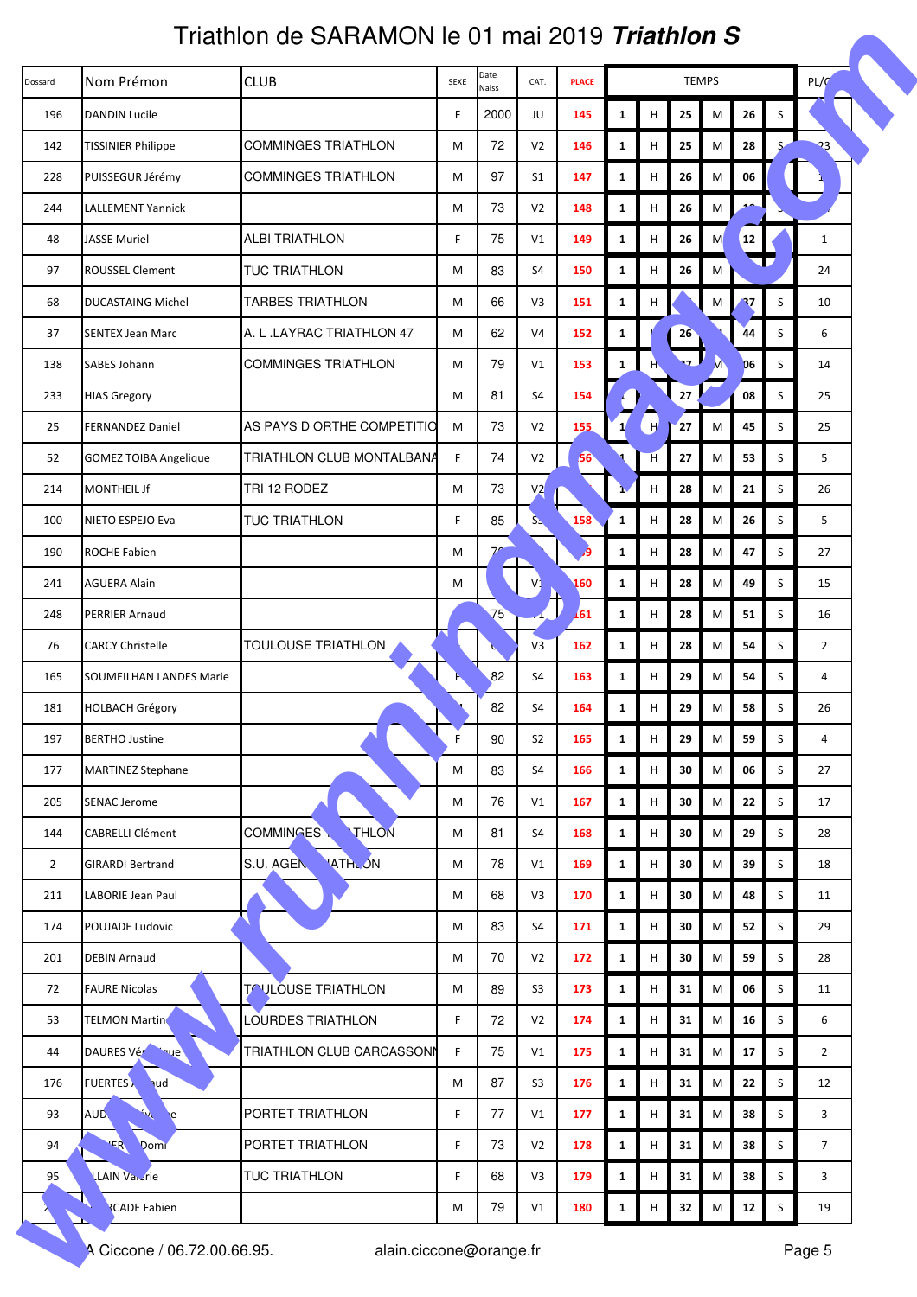|                | Triathlon de SARAMON le 01 mai 2019 <i>Triathlon S</i> |                            |      |                 |                |              |              |   |              |           |            |             |                |  |
|----------------|--------------------------------------------------------|----------------------------|------|-----------------|----------------|--------------|--------------|---|--------------|-----------|------------|-------------|----------------|--|
| Dossard        | Nom Prémon                                             | <b>CLUB</b>                | SEXE | Date<br>Naiss   | CAT.           | <b>PLACE</b> | <b>TEMPS</b> |   |              |           |            |             | PL/C           |  |
| 196            | <b>DANDIN Lucile</b>                                   |                            | F    | 2000            | JU             | 145          | $\mathbf{1}$ | н | 25           | M         | 26         | S           |                |  |
| 142            | <b>TISSINIER Philippe</b>                              | <b>COMMINGES TRIATHLON</b> | M    | 72              | V <sub>2</sub> | 146          | $\mathbf{1}$ | н | 25           | M         | 28         | S           | 23             |  |
| 228            | PUISSEGUR Jérémy                                       | <b>COMMINGES TRIATHLON</b> | M    | 97              | S <sub>1</sub> | 147          | $\mathbf{1}$ | н | 26           | M         | 06         |             |                |  |
| 244            | <b>LALLEMENT Yannick</b>                               |                            | М    | 73              | V <sub>2</sub> | 148          | $\mathbf{1}$ | н | 26           | M         |            |             |                |  |
| 48             | <b>JASSE Muriel</b>                                    | <b>ALBI TRIATHLON</b>      | F.   | 75              | V1             | 149          | $\mathbf{1}$ | н | 26           | M         | <b>12</b>  |             | $\mathbf{1}$   |  |
| 97             | <b>ROUSSEL Clement</b>                                 | <b>TUC TRIATHLON</b>       | М    | 83              | S4             | 150          | $\mathbf{1}$ | н | 26           | M         |            |             | 24             |  |
| 68             | <b>DUCASTAING Michel</b>                               | <b>TARBES TRIATHLON</b>    | M    | 66              | V3             | 151          | $\mathbf{1}$ | н |              | M         | 37         | $\sf S$     | 10             |  |
| 37             | <b>SENTEX Jean Marc</b>                                | A. L. LAYRAC TRIATHLON 47  | M    | 62              | V <sub>4</sub> | 152          | 1            |   | 26           |           | 44         | S           | 6              |  |
| 138            | SABES Johann                                           | <b>COMMINGES TRIATHLON</b> | М    | 79              | V1             | 153          | $\mathbf{1}$ | H | $\mathbf{v}$ |           | D6         | S           | 14             |  |
| 233            | <b>HIAS Gregory</b>                                    |                            | М    | 81              | S4             | 154          |              |   | 27           |           | 08         | S           | 25             |  |
| 25             | <b>FERNANDEZ Daniel</b>                                | AS PAYS D ORTHE COMPETITIO | M    | 73              | V <sub>2</sub> | 155          |              | H | 27           | M         | 45         | S           | 25             |  |
| 52             | <b>GOMEZ TOIBA Angelique</b>                           | TRIATHLON CLUB MONTALBANA  | F    | 74              | V <sub>2</sub> | 56           |              | H | 27           | M         | 53         | S           | 5              |  |
| 214            | <b>MONTHEIL Jf</b>                                     | TRI 12 RODEZ               | M    | 73              | V <sub>2</sub> |              |              | н | 28           | M         | 21         | S           | 26             |  |
| 100            | NIETO ESPEJO Eva                                       | TUC TRIATHLON              | F.   | 85              | $S_{\geq}$     | 158          | $\mathbf{1}$ | н | 28           | M         | 26         | S           | 5              |  |
| 190            | <b>ROCHE Fabien</b>                                    |                            | M    | 7 <sup>c</sup>  |                | و,           | $\mathbf{1}$ | н | 28           | M         | 47         | S           | 27             |  |
| 241            | <b>AGUERA Alain</b>                                    |                            | M    |                 |                | 160          | $\mathbf{1}$ | H | 28           | M         | 49         | S           | 15             |  |
| 248            | <b>PERRIER Arnaud</b>                                  |                            |      | 75 <sup>°</sup> |                | 161          | $\mathbf{1}$ | н | 28           | M         | 51         | S           | 16             |  |
| 76             | <b>CARCY Christelle</b>                                | TOULOUSE TRIATHLON         |      |                 | V3             | 162          | $\mathbf{1}$ | н | 28           | M         | 54         | S           | $\overline{2}$ |  |
| 165            | <b>SOUMEILHAN LANDES Marie</b>                         |                            |      | 82              | S4             | 163          | $\mathbf{1}$ | н | 29           | M         | 54         | S           | 4              |  |
| 181            | <b>HOLBACH Grégory</b>                                 |                            |      | 82              | S4             | 164          | $\mathbf{1}$ | н | 29           | M         | 58         | S           | 26             |  |
| 197            | <b>BERTHO Justine</b>                                  |                            | F.   | 90              | S <sub>2</sub> | 165          | $\mathbf{1}$ | н | 29           | M         | 59         | S           | 4              |  |
| 177            | <b>MARTINEZ Stephane</b>                               |                            | M    | 83              | S4             | 166          | $\mathbf{1}$ | н | 30           | M         | 06         | S           | 27             |  |
| 205            | <b>SENAC Jerome</b>                                    |                            | M    | 76              | V1             | 167          | $\mathbf{1}$ | н | 30           | M         | 22         | S           | 17             |  |
| 144            | <b>CABRELLI Clément</b>                                | THLON<br><b>COMMINGES</b>  | M    | 81              | S4             | 168          | $\mathbf{1}$ | н | 30           | M         | 29         | $\mathsf S$ | 28             |  |
| $\overline{2}$ | <b>GIRARDI Bertrand</b>                                | <b>ATHLON</b><br>S.U. AGEN | M    | 78              | V1             | 169          | $\mathbf{1}$ | Н | 30           | M         | 39         | S           | 18             |  |
| 211            | LABORIE Jean Paul                                      |                            | M    | 68              | V3             | 170          | $\mathbf{1}$ | н | 30           | M         | 48         | S           | 11             |  |
| 174            | POUJADE Ludovic                                        |                            | M    | 83              | S4             | 171          | $\mathbf{1}$ | н | 30           | M         | 52         | S           | 29             |  |
| 201            | <b>DEBIN Arnaud</b>                                    |                            | M    | 70              | V <sub>2</sub> | 172          | $\mathbf{1}$ | н | 30           | M         | 59         | S           | 28             |  |
| 72             | <b>FAURE Nicolas</b>                                   | <b>TOULOUSE TRIATHLON</b>  | M    | 89              | S <sub>3</sub> | 173          | $\mathbf{1}$ | н | 31           | M         | 06         | S           | 11             |  |
| 53             | <b>TELMON Martino</b>                                  | LOURDES TRIATHLON          | F    | 72              | V <sub>2</sub> | 174          | $\mathbf{1}$ | н | 31           | M         | 16         | S           | 6              |  |
| 44             | DAURES Véremaue                                        | TRIATHLON CLUB CARCASSONN  | F    | 75              | V1             | 175          | $\mathbf{1}$ | н | 31           | M         | 17         | S           | $\overline{2}$ |  |
| 176            | <b>FUERTES</b><br><b>hud</b>                           |                            | M    | 87              | S <sub>3</sub> | 176          | $\mathbf{1}$ | н | 31           | M         | 22         | $\sf S$     | 12             |  |
| 93             | AUD.<br>$\mathcal{N}$<br>e                             | PORTET TRIATHLON           | F.   | 77              | V1             | 177          | $\mathbf{1}$ | н | 31           | ${\sf M}$ | 38         | $\sf S$     | 3              |  |
| 94             | Domr<br>$R^{\mathbf{p}}$                               | PORTET TRIATHLON           | F.   | 73              | V <sub>2</sub> | 178          | $\mathbf{1}$ | н | 31           | M         | 38         | S           | $\overline{7}$ |  |
| 95             | <b>LAIN Vancrie</b>                                    | TUC TRIATHLON              | F.   | 68              | V3             | 179          | $\mathbf{1}$ | н | 31           | M         | 38         | S           | 3              |  |
|                | <b>RCADE Fabien</b>                                    |                            | M    | 79              | V1             | 180          | $\mathbf{1}$ | н | 32           | M         | ${\bf 12}$ | S           | 19             |  |
|                | A Ciccone / 06.72.00.66.95.                            | alain.ciccone@orange.fr    |      |                 |                |              |              |   |              |           |            |             | Page 5         |  |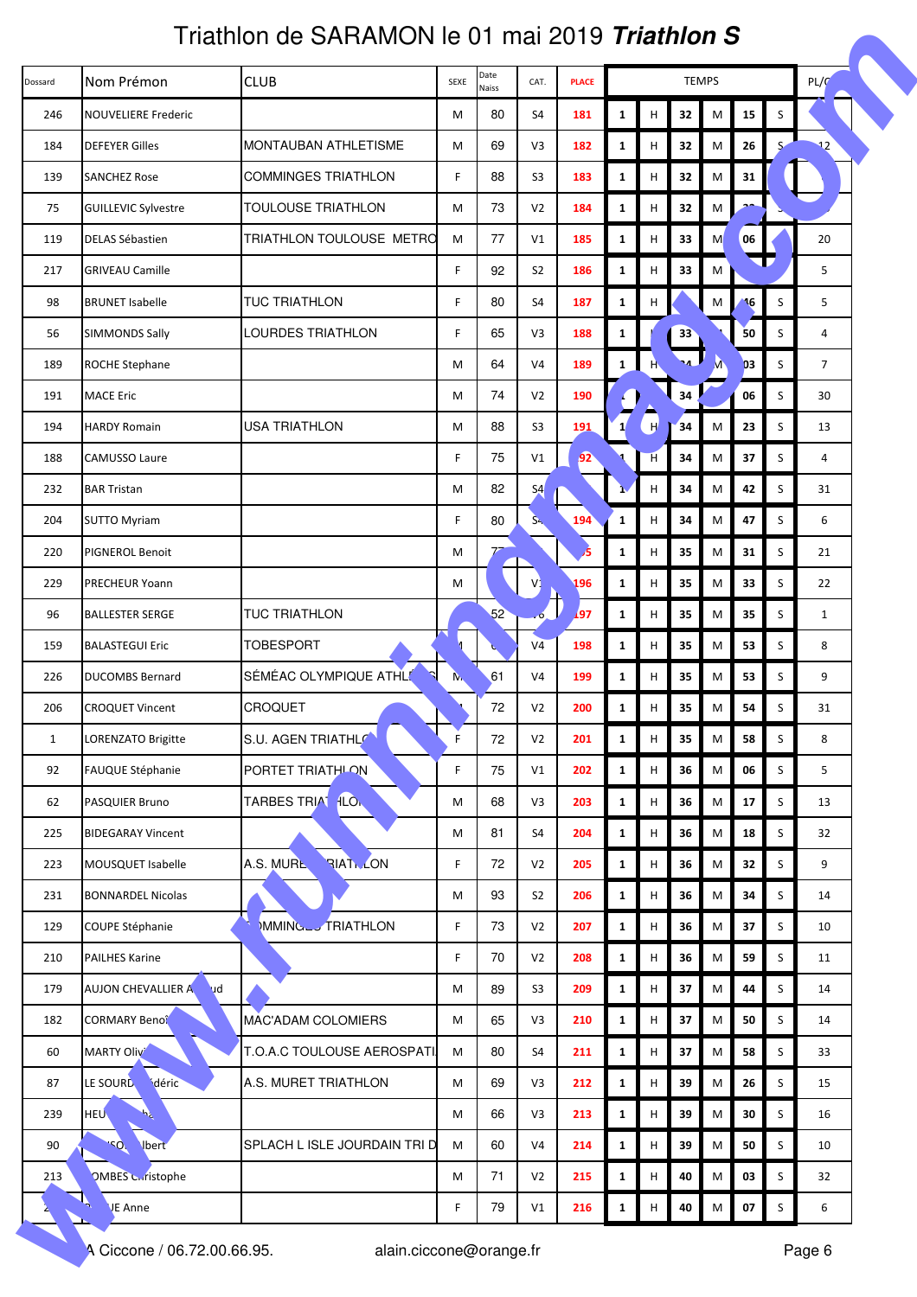|              | Triathlon de SARAMON le 01 mai 2019 <i>Triathlon S</i> |                                         |             |               |                |              |                       |   |                      |           |    |         |                |  |
|--------------|--------------------------------------------------------|-----------------------------------------|-------------|---------------|----------------|--------------|-----------------------|---|----------------------|-----------|----|---------|----------------|--|
| Dossard      | Nom Prémon                                             | <b>CLUB</b>                             | SEXE        | Date<br>Naiss | CAT.           | <b>PLACE</b> | <b>TEMPS</b>          |   |                      |           |    |         | PL/G           |  |
| 246          | <b>NOUVELIERE Frederic</b>                             |                                         | М           | 80            | S4             | 181          | $\mathbf{1}$          | н | 32                   | M         | 15 | S       |                |  |
| 184          | <b>DEFEYER Gilles</b>                                  | <b>MONTAUBAN ATHLETISME</b>             | M           | 69            | V3             | 182          | $\mathbf{1}$          | н | 32                   | M         | 26 | S       | 12             |  |
| 139          | <b>SANCHEZ Rose</b>                                    | <b>COMMINGES TRIATHLON</b>              | F           | 88            | S <sub>3</sub> | 183          | $\mathbf{1}$          | н | 32                   | M         | 31 |         |                |  |
| 75           | <b>GUILLEVIC Sylvestre</b>                             | TOULOUSE TRIATHLON                      | М           | 73            | V <sub>2</sub> | 184          | $\mathbf{1}$          | н | 32                   | M         |    |         |                |  |
| 119          | <b>DELAS Sébastien</b>                                 | TRIATHLON TOULOUSE METRO                | M           | 77            | V1             | 185          | $\mathbf{1}$          | н | 33                   | M         | 06 |         | 20             |  |
| 217          | <b>GRIVEAU Camille</b>                                 |                                         | F           | 92            | S <sub>2</sub> | 186          | $\mathbf{1}$          | н | 33                   | M         |    |         | 5              |  |
| 98           | <b>BRUNET Isabelle</b>                                 | <b>TUC TRIATHLON</b>                    | F           | 80            | S4             | 187          | $\mathbf{1}$          | н |                      | M         | 16 | S       | 5              |  |
| 56           | <b>SIMMONDS Sally</b>                                  | LOURDES TRIATHLON                       | F.          | 65            | V3             | 188          | 1                     |   | 33                   |           | 50 | S       | 4              |  |
| 189          | <b>ROCHE Stephane</b>                                  |                                         | М           | 64            | V <sub>4</sub> | 189          | $\mathbf{1}$          | H | $\cdot$ <sub>4</sub> |           | D3 | S       | $\overline{7}$ |  |
| 191          | <b>MACE Eric</b>                                       |                                         | M           | 74            | V <sub>2</sub> | 190          |                       |   | 34                   |           | 06 | S       | 30             |  |
| 194          | <b>HARDY Romain</b>                                    | <b>USA TRIATHLON</b>                    | М           | 88            | S <sub>3</sub> | 191          | $\mathbf{1}^{\prime}$ | H | 34                   | M         | 23 | S       | 13             |  |
| 188          | <b>CAMUSSO Laure</b>                                   |                                         | F.          | 75            | V1             | 92           |                       | H | 34                   | M         | 37 | S       | 4              |  |
| 232          | <b>BAR Tristan</b>                                     |                                         | M           | 82            | S <sub>4</sub> |              |                       | н | 34                   | M         | 42 | S       | 31             |  |
| 204          | <b>SUTTO Myriam</b>                                    |                                         | F.          | 80            | S <sub>1</sub> | 194          | $\mathbf{1}$          | н | 34                   | M         | 47 | S       | 6              |  |
| 220          | PIGNEROL Benoit                                        |                                         | М           | $7^{\circ}$   |                | 5            | $\mathbf{1}$          | н | 35                   | M         | 31 | S       | 21             |  |
| 229          | PRECHEUR Yoann                                         |                                         | M           |               |                | 196          | $\mathbf{1}$          | н | 35                   | M         | 33 | S       | 22             |  |
| 96           | <b>BALLESTER SERGE</b>                                 | TUC TRIATHLON                           |             | 52            |                | 197          | $\mathbf{1}$          | н | 35                   | M         | 35 | S       | $\mathbf{1}$   |  |
| 159          | <b>BALASTEGUI Eric</b>                                 | <b>TOBESPORT</b>                        |             |               | V <sub>4</sub> | 198          | $\mathbf{1}$          | н | 35                   | M         | 53 | S       | 8              |  |
| 226          | <b>DUCOMBS Bernard</b>                                 | SÉMÉAC OLYMPIQUE ATHLE                  | N.          | 61            | V <sub>4</sub> | 199          | $\mathbf{1}$          | н | 35                   | M         | 53 | S       | 9              |  |
| 206          | <b>CROQUET Vincent</b>                                 | <b>CROQUET</b>                          |             | 72            | V <sub>2</sub> | 200          | $\mathbf{1}$          | н | 35                   | M         | 54 | S       | 31             |  |
| $\mathbf{1}$ | LORENZATO Brigitte                                     | S.U. AGEN TRIATHLO                      | F           | 72            | V <sub>2</sub> | 201          | $\mathbf{1}$          | н | 35                   | M         | 58 | S       | 8              |  |
| 92           | <b>FAUQUE Stéphanie</b>                                | PORTET TRIATHLON                        | $\mathsf F$ | 75            | V1             | 202          | $\mathbf{1}$          | н | 36                   | M         | 06 | S       | 5              |  |
| 62           | PASQUIER Bruno                                         | <b>TARBES TRIAT</b><br>fLO <sub>k</sub> | M           | 68            | V3             | 203          | $\mathbf{1}$          | н | 36                   | M         | 17 | S       | 13             |  |
| 225          | <b>BIDEGARAY Vincent</b>                               |                                         | M           | 81            | S4             | 204          | $\mathbf{1}$          | н | 36                   | M         | 18 | S       | 32             |  |
| 223          | MOUSQUET Isabelle                                      | <b>RIAT LON</b><br>A.S. MURL            | F.          | 72            | V <sub>2</sub> | 205          | $\mathbf{1}$          | Н | 36                   | M         | 32 | S       | 9              |  |
| 231          | <b>BONNARDEL Nicolas</b>                               |                                         | M           | 93            | S <sub>2</sub> | 206          | $\mathbf{1}$          | н | 36                   | M         | 34 | S       | 14             |  |
| 129          | COUPE Stéphanie                                        | MMINGLUTRIATHLON                        | F.          | 73            | V <sub>2</sub> | 207          | $\mathbf{1}$          | н | 36                   | M         | 37 | S       | 10             |  |
| 210          | <b>PAILHES Karine</b>                                  |                                         | F.          | 70            | V <sub>2</sub> | 208          | $\mathbf{1}$          | н | 36                   | M         | 59 | S       | 11             |  |
| 179          | AUJON CHEVALLIER A<br><b>bu</b>                        |                                         | M           | 89            | S <sub>3</sub> | 209          | $\mathbf{1}$          | н | 37                   | M         | 44 | S       | 14             |  |
| 182          | <b>CORMARY Benoî</b>                                   | MAC'ADAM COLOMIERS                      | M           | 65            | V3             | 210          | $\mathbf{1}$          | н | 37                   | M         | 50 | S       | 14             |  |
| 60           | <b>MARTY Olivi</b>                                     | T.O.A.C TOULOUSE AEROSPATI              | M           | 80            | S4             | 211          | $\mathbf{1}$          | н | 37                   | M         | 58 | S       | 33             |  |
| 87           | déric<br>LE SOURD                                      | A.S. MURET TRIATHLON                    | M           | 69            | V3             | 212          | $\mathbf{1}$          | н | 39                   | M         | 26 | $\sf S$ | 15             |  |
| 239          | HEU.<br>55                                             |                                         | M           | 66            | V3             | 213          | $\mathbf{1}$          | н | 39                   | ${\sf M}$ | 30 | $\sf S$ | 16             |  |
| 90           | <b>ISO</b><br><b>Ibert</b>                             | SPLACH L ISLE JOURDAIN TRI D            | M           | 60            | V <sub>4</sub> | 214          | $\mathbf{1}$          | н | 39                   | M         | 50 | S       | 10             |  |
| 213          | <b>OMBES Curistophe</b>                                |                                         | M           | 71            | V <sub>2</sub> | 215          | $\mathbf{1}$          | н | 40                   | M         | 03 | S       | 32             |  |
|              | JE Anne                                                |                                         | F.          | 79            | V1             | 216          | $\mathbf{1}$          | н | 40                   | M         | 07 | S       | 6              |  |
|              | A Ciccone / 06.72.00.66.95.                            | alain.ciccone@orange.fr                 |             |               |                |              |                       |   |                      |           |    |         | Page 6         |  |